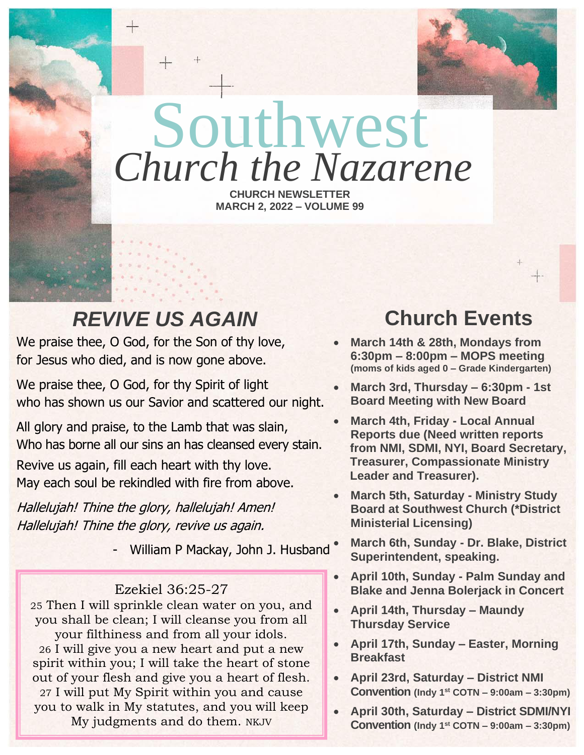

# Southwest *Church the Nazarene*

**CHURCH NEWSLETTER MARCH 2, 2022 – VOLUME 99**

# *REVIVE US AGAIN*

We praise thee, O God, for the Son of thy love, for Jesus who died, and is now gone above.

We praise thee, O God, for thy Spirit of light who has shown us our Savior and scattered our night.

All glory and praise, to the Lamb that was slain, Who has borne all our sins an has cleansed every stain. Revive us again, fill each heart with thy love. May each soul be rekindled with fire from above.

Hallelujah! Thine the glory, hallelujah! Amen! Hallelujah! Thine the glory, revive us again.

- William P Mackay, John J. Husband

### Ezekiel 36:25-27

25 Then I will sprinkle clean water on you, and you shall be clean; I will cleanse you from all your filthiness and from all your idols. 26 I will give you a new heart and put a new spirit within you; I will take the heart of stone out of your flesh and give you a heart of flesh. 27 I will put My Spirit within you and cause you to walk in My statutes, and you will keep My judgments and do them. NKJV

# **Church Events**

- **March 14th & 28th, Mondays from 6:30pm – 8:00pm – MOPS meeting (moms of kids aged 0 – Grade Kindergarten)**
- **March 3rd, Thursday – 6:30pm - 1st Board Meeting with New Board**
- **March 4th, Friday - Local Annual Reports due (Need written reports from NMI, SDMI, NYI, Board Secretary, Treasurer, Compassionate Ministry Leader and Treasurer).**
- **March 5th, Saturday - Ministry Study Board at Southwest Church (\*District Ministerial Licensing)**
- **March 6th, Sunday - Dr. Blake, District Superintendent, speaking.**
- **April 10th, Sunday - Palm Sunday and Blake and Jenna Bolerjack in Concert**
- **April 14th, Thursday – Maundy Thursday Service**
- **April 17th, Sunday – Easter, Morning Breakfast**
- **April 23rd, Saturday – District NMI Convention (Indy 1st COTN – 9:00am – 3:30pm)**
- **April 30th, Saturday – District SDMI/NYI Convention (Indy 1st COTN – 9:00am – 3:30pm)**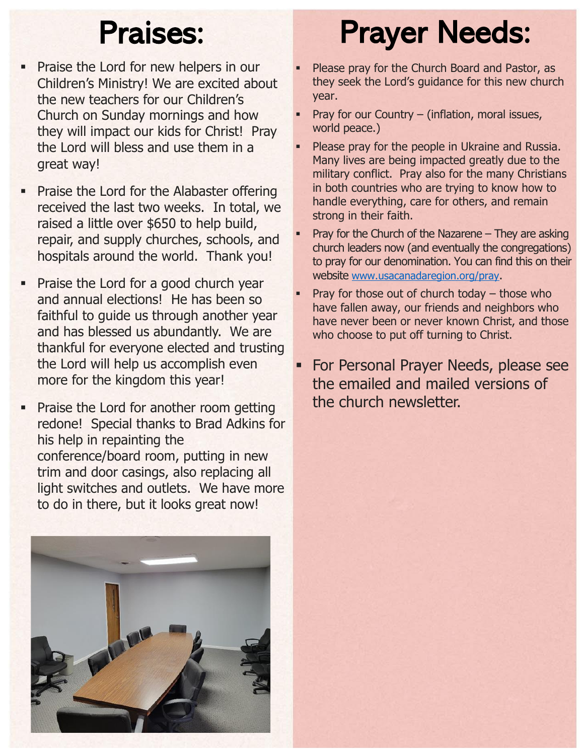- **Praise the Lord for new helpers in our** Children's Ministry! We are excited about the new teachers for our Children's Church on Sunday mornings and how they will impact our kids for Christ! Pray the Lord will bless and use them in a great way!
- **Praise the Lord for the Alabaster offering** received the last two weeks. In total, we raised a little over \$650 to help build, repair, and supply churches, schools, and hospitals around the world. Thank you!
- Praise the Lord for a good church year and annual elections! He has been so faithful to guide us through another year and has blessed us abundantly. We are thankful for everyone elected and trusting the Lord will help us accomplish even more for the kingdom this year!
- **Praise the Lord for another room getting** redone! Special thanks to Brad Adkins for his help in repainting the conference/board room, putting in new trim and door casings, also replacing all light switches and outlets. We have more to do in there, but it looks great now!



# Praises: Prayer Needs:

- Please pray for the Church Board and Pastor, as they seek the Lord's guidance for this new church year.
- Pray for our Country (inflation, moral issues, world peace.)
- Please pray for the people in Ukraine and Russia. Many lives are being impacted greatly due to the military conflict. Pray also for the many Christians in both countries who are trying to know how to handle everything, care for others, and remain strong in their faith.
- Pray for the Church of the Nazarene  $-$  They are asking church leaders now (and eventually the congregations) to pray for our denomination. You can find this on their website [www.usacanadaregion.org/pray](http://www.usacanadaregion.org/pray).
- Pray for those out of church today  $-$  those who have fallen away, our friends and neighbors who have never been or never known Christ, and those who choose to put off turning to Christ.
- **For Personal Prayer Needs, please see** the emailed and mailed versions of the church newsletter.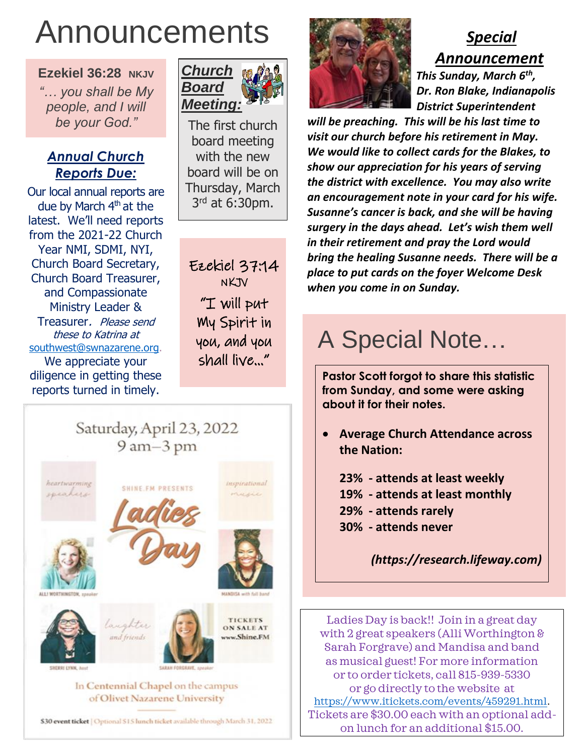# Announcements

**Ezekiel 36:28 NKJV**

*"… you shall be My people, and I will be your God."*

### *Annual Church Reports Due:*

Our local annual reports are due by March  $4<sup>th</sup>$  at the latest. We'll need reports from the 2021-22 Church Year NMI, SDMI, NYI, Church Board Secretary, Church Board Treasurer, and Compassionate Ministry Leader & Treasurer. Please send these to Katrina at [southwest@swnazarene.org.](mailto:southwest@swnazarene.org) We appreciate your diligence in getting these reports turned in timely.



The first church board meeting with the new board will be on Thursday, March 3<sup>rd</sup> at 6:30pm.

Ezekiel 37:14 NKJV "I will put My Spirit in you, and you shall live…"

## Saturday, April 23, 2022 9 am-3 pm



of Olivet Nazarene University

\$30 event ticket | Optional \$15 lunch ticket available through March 31, 2022



## *Special Announcement <i><b><i>x l***<sub><b>***x***</del>** *<i><b><i>x <i><b><i>x <b><i>s <i><b><i>x <i>s <i>n***<sub></sub>***<b><i><i>s <i>n***<sub></sub>***<b><i><i>s<i><i>fth,*</sub>

 *Dr. Ron Blake, Indianapolis District Superintendent will be preaching. This will be his last time to visit our church before his retirement in May. We would like to collect cards for the Blakes, to show our appreciation for his years of serving the district with excellence. You may also write an encouragement note in your card for his wife. Susanne's cancer is back, and she will be having* 

*surgery in the days ahead. Let's wish them well in their retirement and pray the Lord would bring the healing Susanne needs. There will be a place to put cards on the foyer Welcome Desk when you come in on Sunday.* 

# A Special Note…

**Pastor Scott forgot to share this statistic from Sunday, and some were asking about it for their notes.**

- **Average Church Attendance across the Nation:** 
	- **23% - attends at least weekly 19% - attends at least monthly 29% - attends rarely 30% - attends never**

*(https://research.lifeway.com)*

Ladies Day is back!! Join in a great day with 2 great speakers (Alli Worthington & Sarah Forgrave) and Mandisa and band as musical guest! For more information or to order tickets, call 815-939-5330 or go directly to the website at [https://www.itickets.com/events/459291.html.](https://www.itickets.com/events/459291.html) Tickets are \$30.00 each with an optional addon lunch for an additional \$15.00.